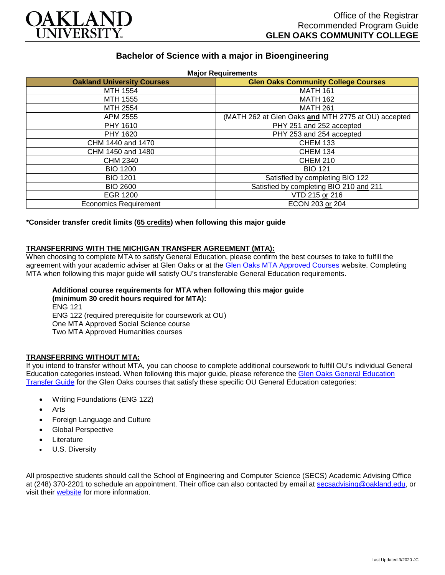

# **Bachelor of Science with a major in Bioengineering**

| <b>Oakland University Courses</b> | <b>Glen Oaks Community College Courses</b>          |
|-----------------------------------|-----------------------------------------------------|
| MTH 1554                          | <b>MATH 161</b>                                     |
| MTH 1555                          | <b>MATH 162</b>                                     |
| MTH 2554                          | <b>MATH 261</b>                                     |
| APM 2555                          | (MATH 262 at Glen Oaks and MTH 2775 at OU) accepted |
| PHY 1610                          | PHY 251 and 252 accepted                            |
| PHY 1620                          | PHY 253 and 254 accepted                            |
| CHM 1440 and 1470                 | <b>CHEM 133</b>                                     |
| CHM 1450 and 1480                 | <b>CHEM 134</b>                                     |
| CHM 2340                          | <b>CHEM 210</b>                                     |
| <b>BIO 1200</b>                   | <b>BIO 121</b>                                      |
| <b>BIO 1201</b>                   | Satisfied by completing BIO 122                     |
| <b>BIO 2600</b>                   | Satisfied by completing BIO 210 and 211             |
| <b>EGR 1200</b>                   | VTD 215 or 216                                      |
| <b>Economics Requirement</b>      | ECON 203 or 204                                     |

**\*Consider transfer credit limits (65 credits) when following this major guide**

### **TRANSFERRING WITH THE MICHIGAN TRANSFER AGREEMENT (MTA):**

When choosing to complete MTA to satisfy General Education, please confirm the best courses to take to fulfill the agreement with your academic adviser at Glen Oaks or at the [Glen Oaks MTA Approved Courses](https://www.glenoaks.edu/current-students/registration-records/#MTA) website. Completing MTA when following this major guide will satisfy OU's transferable General Education requirements.

#### **Additional course requirements for MTA when following this major guide (minimum 30 credit hours required for MTA):**

ENG 121 ENG 122 (required prerequisite for coursework at OU) One MTA Approved Social Science course Two MTA Approved Humanities courses

## **TRANSFERRING WITHOUT MTA:**

If you intend to transfer without MTA, you can choose to complete additional coursework to fulfill OU's individual General Education categories instead. When following this major guide, please reference the [Glen Oaks General Education](https://www.oakland.edu/Assets/Oakland/program-guides/glen-oaks-community-college/university-general-education-requirements/Glen%20Oaks%20Gen%20Ed.pdf)  [Transfer Guide](https://www.oakland.edu/Assets/Oakland/program-guides/glen-oaks-community-college/university-general-education-requirements/Glen%20Oaks%20Gen%20Ed.pdf) for the Glen Oaks courses that satisfy these specific OU General Education categories:

- Writing Foundations (ENG 122)
- Arts
- Foreign Language and Culture
- Global Perspective
- **Literature**
- U.S. Diversity

All prospective students should call the School of Engineering and Computer Science (SECS) Academic Advising Office at (248) 370-2201 to schedule an appointment. Their office can also contacted by email at [secsadvising@oakland.edu,](mailto:secsadvising@oakland.edu) or visit their **website** for more information.